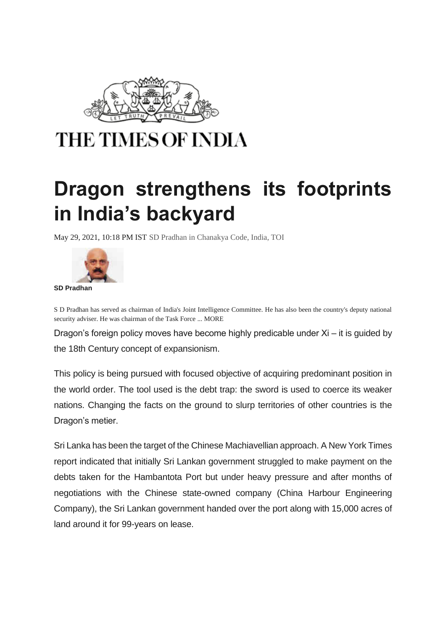

## **THE TIMES OF INDIA**

## **Dragon strengthens its footprints in India's backyard**

May 29, 2021, 10:18 PM IST [SD Pradhan](https://timesofindia.indiatimes.com/blogs/author/sdpradhan/) in [Chanakya Code,](https://timesofindia.indiatimes.com/blogs/ChanakyaCode/) [India,](https://timesofindia.indiatimes.com/blogs/india/) TOI



S D Pradhan has served as chairman of India's Joint Intelligence Committee. He has also been the country's deputy national security adviser. He was chairman of the Task Force ... MORE

Dragon's foreign policy moves have become highly predicable under Xi – it is guided by the 18th Century concept of expansionism.

This policy is being pursued with focused objective of acquiring predominant position in the world order. The tool used is the debt trap: the sword is used to coerce its weaker nations. Changing the facts on the ground to slurp territories of other countries is the Dragon's metier.

Sri Lanka has been the target of the Chinese Machiavellian approach. A New York Times report indicated that initially Sri Lankan government struggled to make payment on the debts taken for the Hambantota Port but under heavy pressure and after months of negotiations with the Chinese state-owned company (China Harbour Engineering Company), the Sri Lankan government handed over the port along with 15,000 acres of land around it for 99-years on lease.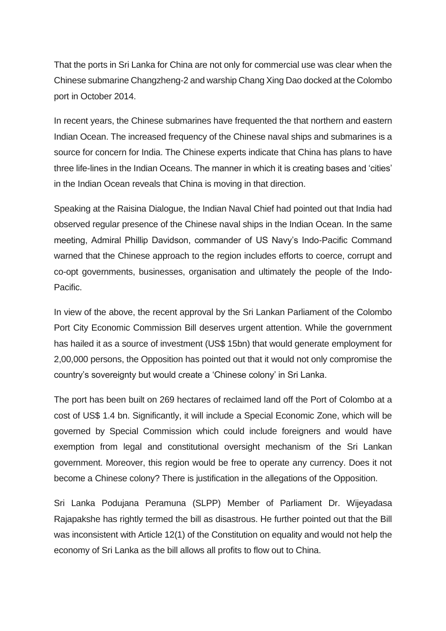That the ports in Sri Lanka for China are not only for commercial use was clear when the Chinese submarine Changzheng-2 and warship Chang Xing Dao docked at the Colombo port in October 2014.

In recent years, the Chinese submarines have frequented the that northern and eastern Indian Ocean. The increased frequency of the Chinese naval ships and submarines is a source for concern for India. The Chinese experts indicate that China has plans to have three life-lines in the Indian Oceans. The manner in which it is creating bases and 'cities' in the Indian Ocean reveals that China is moving in that direction.

Speaking at the Raisina Dialogue, the Indian Naval Chief had pointed out that India had observed regular presence of the Chinese naval ships in the Indian Ocean. In the same meeting, Admiral Phillip Davidson, commander of US Navy's Indo-Pacific Command warned that the Chinese approach to the region includes efforts to coerce, corrupt and co-opt governments, businesses, organisation and ultimately the people of the Indo-Pacific.

In view of the above, the recent approval by the Sri Lankan Parliament of the Colombo Port City Economic Commission Bill deserves urgent attention. While the government has hailed it as a source of investment (US\$ 15bn) that would generate employment for 2,00,000 persons, the Opposition has pointed out that it would not only compromise the country's sovereignty but would create a 'Chinese colony' in Sri Lanka.

The port has been built on 269 hectares of reclaimed land off the Port of Colombo at a cost of US\$ 1.4 bn. Significantly, it will include a Special Economic Zone, which will be governed by Special Commission which could include foreigners and would have exemption from legal and constitutional oversight mechanism of the Sri Lankan government. Moreover, this region would be free to operate any currency. Does it not become a Chinese colony? There is justification in the allegations of the Opposition.

Sri Lanka Podujana Peramuna (SLPP) Member of Parliament Dr. Wijeyadasa Rajapakshe has rightly termed the bill as disastrous. He further pointed out that the Bill was inconsistent with Article 12(1) of the Constitution on equality and would not help the economy of Sri Lanka as the bill allows all profits to flow out to China.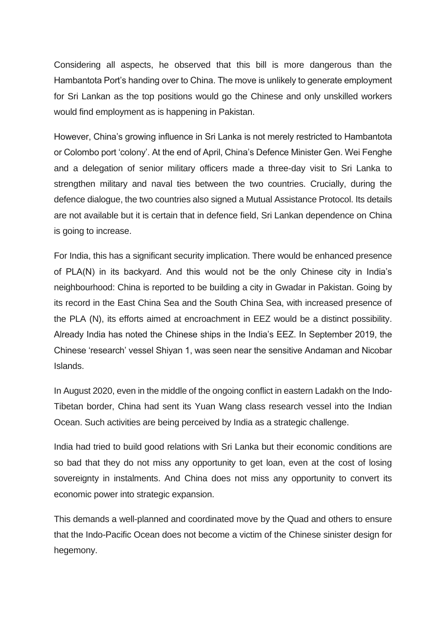Considering all aspects, he observed that this bill is more dangerous than the Hambantota Port's handing over to China. The move is unlikely to generate employment for Sri Lankan as the top positions would go the Chinese and only unskilled workers would find employment as is happening in Pakistan.

However, China's growing influence in Sri Lanka is not merely restricted to Hambantota or Colombo port 'colony'. At the end of April, China's Defence Minister Gen. Wei Fenghe and a delegation of senior military officers made a three-day visit to Sri Lanka to strengthen military and naval ties between the two countries. Crucially, during the defence dialogue, the two countries also signed a Mutual Assistance Protocol. Its details are not available but it is certain that in defence field, Sri Lankan dependence on China is going to increase.

For India, this has a significant security implication. There would be enhanced presence of PLA(N) in its backyard. And this would not be the only Chinese city in India's neighbourhood: China is reported to be building a city in Gwadar in Pakistan. Going by its record in the East China Sea and the South China Sea, with increased presence of the PLA (N), its efforts aimed at encroachment in EEZ would be a distinct possibility. Already India has noted the Chinese ships in the India's EEZ. In September 2019, the Chinese 'research' vessel Shiyan 1, was seen near the sensitive Andaman and Nicobar Islands.

In August 2020, even in the middle of the ongoing conflict in eastern Ladakh on the Indo-Tibetan border, China had sent its Yuan Wang class research vessel into the Indian Ocean. Such activities are being perceived by India as a strategic challenge.

India had tried to build good relations with Sri Lanka but their economic conditions are so bad that they do not miss any opportunity to get loan, even at the cost of losing sovereignty in instalments. And China does not miss any opportunity to convert its economic power into strategic expansion.

This demands a well-planned and coordinated move by the Quad and others to ensure that the Indo-Pacific Ocean does not become a victim of the Chinese sinister design for hegemony.